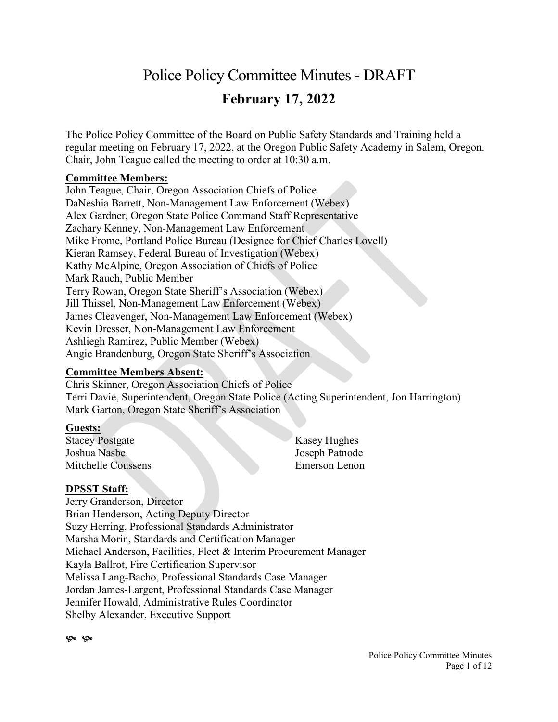# Police Policy Committee Minutes- DRAFT **February 17, 2022**

The Police Policy Committee of the Board on Public Safety Standards and Training held a regular meeting on February 17, 2022, at the Oregon Public Safety Academy in Salem, Oregon. Chair, John Teague called the meeting to order at 10:30 a.m.

#### **Committee Members:**

John Teague, Chair, Oregon Association Chiefs of Police DaNeshia Barrett, Non-Management Law Enforcement (Webex) Alex Gardner, Oregon State Police Command Staff Representative Zachary Kenney, Non-Management Law Enforcement Mike Frome, Portland Police Bureau (Designee for Chief Charles Lovell) Kieran Ramsey, Federal Bureau of Investigation (Webex) Kathy McAlpine, Oregon Association of Chiefs of Police Mark Rauch, Public Member Terry Rowan, Oregon State Sheriff's Association (Webex) Jill Thissel, Non-Management Law Enforcement (Webex) James Cleavenger, Non-Management Law Enforcement (Webex) Kevin Dresser, Non-Management Law Enforcement Ashliegh Ramirez, Public Member (Webex) Angie Brandenburg, Oregon State Sheriff's Association

## **Committee Members Absent:**

Chris Skinner, Oregon Association Chiefs of Police Terri Davie, Superintendent, Oregon State Police (Acting Superintendent, Jon Harrington) Mark Garton, Oregon State Sheriff's Association

## **Guests:**

Stacey Postgate Joshua Nasbe Mitchelle Coussens Kasey Hughes Joseph Patnode Emerson Lenon

## **DPSST Staff:**

Jerry Granderson, Director Brian Henderson, Acting Deputy Director Suzy Herring, Professional Standards Administrator Marsha Morin, Standards and Certification Manager Michael Anderson, Facilities, Fleet & Interim Procurement Manager Kayla Ballrot, Fire Certification Supervisor Melissa Lang-Bacho, Professional Standards Case Manager Jordan James-Largent, Professional Standards Case Manager Jennifer Howald, Administrative Rules Coordinator Shelby Alexander, Executive Support

Q Q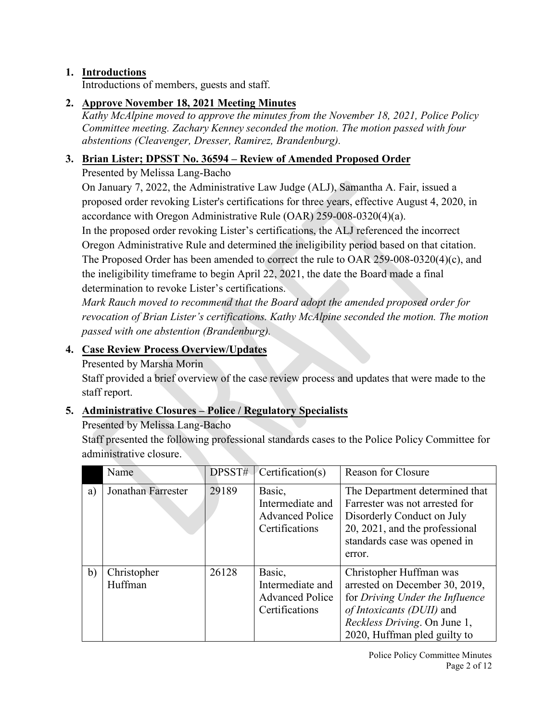# **1. Introductions**

Introductions of members, guests and staff.

# **2. Approve November 18, 2021 Meeting Minutes**

*Kathy McAlpine moved to approve the minutes from the November 18, 2021, Police Policy Committee meeting. Zachary Kenney seconded the motion. The motion passed with four abstentions (Cleavenger, Dresser, Ramirez, Brandenburg).*

## **3. Brian Lister; DPSST No. 36594 – Review of Amended Proposed Order**

# Presented by Melissa Lang-Bacho

On January 7, 2022, the Administrative Law Judge (ALJ), Samantha A. Fair, issued a proposed order revoking Lister's certifications for three years, effective August 4, 2020, in accordance with Oregon Administrative Rule (OAR) 259-008-0320(4)(a).

In the proposed order revoking Lister's certifications, the ALJ referenced the incorrect Oregon Administrative Rule and determined the ineligibility period based on that citation. The Proposed Order has been amended to correct the rule to OAR 259-008-0320(4)(c), and the ineligibility timeframe to begin April 22, 2021, the date the Board made a final determination to revoke Lister's certifications.

*Mark Rauch moved to recommend that the Board adopt the amended proposed order for revocation of Brian Lister's certifications. Kathy McAlpine seconded the motion. The motion passed with one abstention (Brandenburg).*

# **4. Case Review Process Overview/Updates**

Presented by Marsha Morin

Staff provided a brief overview of the case review process and updates that were made to the staff report.

# **5. Administrative Closures – Police / Regulatory Specialists**

Presented by Melissa Lang-Bacho

Staff presented the following professional standards cases to the Police Policy Committee for administrative closure.

|    | Name                   | DPSST# | Certification(s)                                                       | <b>Reason for Closure</b>                                                                                                                                                                 |
|----|------------------------|--------|------------------------------------------------------------------------|-------------------------------------------------------------------------------------------------------------------------------------------------------------------------------------------|
| a) | Jonathan Farrester     | 29189  | Basic,<br>Intermediate and<br><b>Advanced Police</b><br>Certifications | The Department determined that<br>Farrester was not arrested for<br>Disorderly Conduct on July<br>20, 2021, and the professional<br>standards case was opened in<br>error.                |
| b) | Christopher<br>Huffman | 26128  | Basic,<br>Intermediate and<br><b>Advanced Police</b><br>Certifications | Christopher Huffman was<br>arrested on December 30, 2019,<br>for Driving Under the Influence<br>of Intoxicants (DUII) and<br>Reckless Driving. On June 1,<br>2020, Huffman pled guilty to |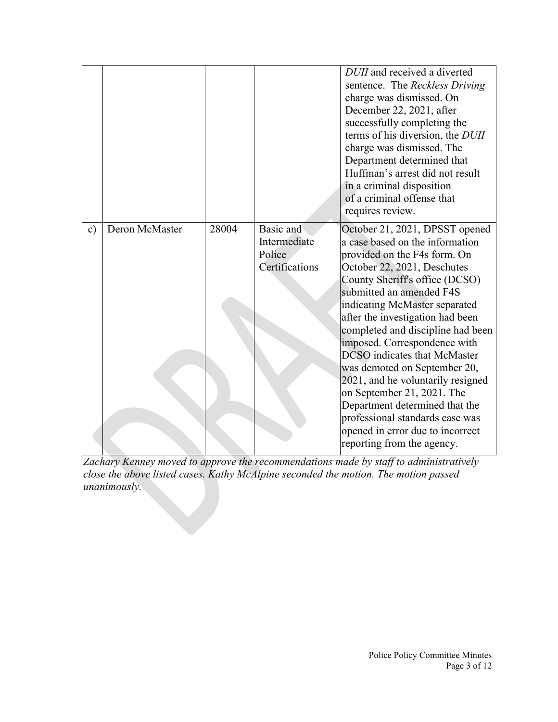|               |                |       |                                                       | DUII and received a diverted<br>sentence. The Reckless Driving<br>charge was dismissed. On<br>December 22, 2021, after<br>successfully completing the<br>terms of his diversion, the DUII<br>charge was dismissed. The<br>Department determined that<br>Huffman's arrest did not result<br>in a criminal disposition<br>of a criminal offense that<br>requires review.                                                                                                                                                                                                                                                    |
|---------------|----------------|-------|-------------------------------------------------------|---------------------------------------------------------------------------------------------------------------------------------------------------------------------------------------------------------------------------------------------------------------------------------------------------------------------------------------------------------------------------------------------------------------------------------------------------------------------------------------------------------------------------------------------------------------------------------------------------------------------------|
| $\mathbf{c})$ | Deron McMaster | 28004 | Basic and<br>Intermediate<br>Police<br>Certifications | October 21, 2021, DPSST opened<br>a case based on the information<br>provided on the F4s form. On<br>October 22, 2021, Deschutes<br>County Sheriff's office (DCSO)<br>submitted an amended F4S<br>indicating McMaster separated<br>after the investigation had been<br>completed and discipline had been<br>imposed. Correspondence with<br><b>DCSO</b> indicates that McMaster<br>was demoted on September 20,<br>2021, and he voluntarily resigned<br>on September 21, 2021. The<br>Department determined that the<br>professional standards case was<br>opened in error due to incorrect<br>reporting from the agency. |

*Zachary Kenney moved to approve the recommendations made by staff to administratively close the above listed cases. Kathy McAlpine seconded the motion. The motion passed unanimously.*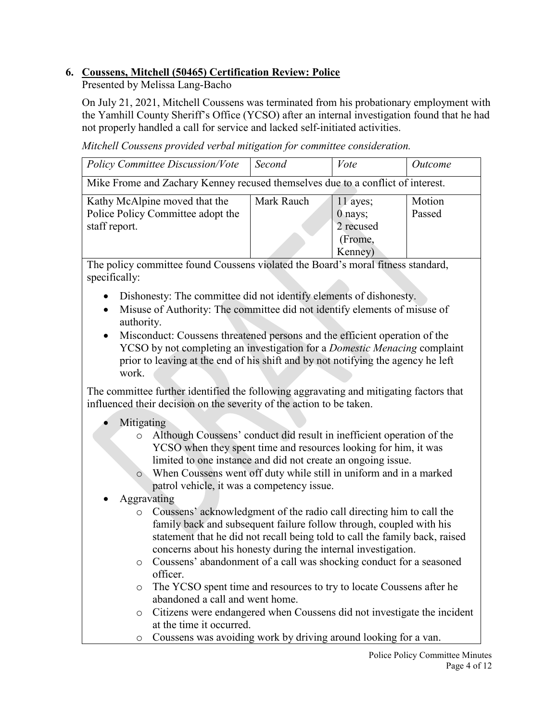# **6. Coussens, Mitchell (50465) Certification Review: Police**

Presented by Melissa Lang-Bacho

On July 21, 2021, Mitchell Coussens was terminated from his probationary employment with the Yamhill County Sheriff's Office (YCSO) after an internal investigation found that he had not properly handled a call for service and lacked self-initiated activities.

*Mitchell Coussens provided verbal mitigation for committee consideration.*

| <b>Policy Committee Discussion/Vote</b>                                         | Second     | Vote      | <i>Outcome</i> |  |
|---------------------------------------------------------------------------------|------------|-----------|----------------|--|
| Mike Frome and Zachary Kenney recused themselves due to a conflict of interest. |            |           |                |  |
| Kathy McAlpine moved that the                                                   | Mark Rauch | 11 ayes;  | Motion         |  |
| Police Policy Committee adopt the                                               |            | 0 nays;   | Passed         |  |
| staff report.                                                                   |            | 2 recused |                |  |
|                                                                                 |            | (Frome,   |                |  |
|                                                                                 |            | Kenney)   |                |  |

The policy committee found Coussens violated the Board's moral fitness standard, specifically:

- Dishonesty: The committee did not identify elements of dishonesty.
- Misuse of Authority: The committee did not identify elements of misuse of authority.
- Misconduct: Coussens threatened persons and the efficient operation of the YCSO by not completing an investigation for a *Domestic Menacing* complaint prior to leaving at the end of his shift and by not notifying the agency he left work.

The committee further identified the following aggravating and mitigating factors that influenced their decision on the severity of the action to be taken.

# • Mitigating

- o Although Coussens' conduct did result in inefficient operation of the YCSO when they spent time and resources looking for him, it was limited to one instance and did not create an ongoing issue.
- o When Coussens went off duty while still in uniform and in a marked patrol vehicle, it was a competency issue.
- Aggravating
	- o Coussens' acknowledgment of the radio call directing him to call the family back and subsequent failure follow through, coupled with his statement that he did not recall being told to call the family back, raised concerns about his honesty during the internal investigation.
	- o Coussens' abandonment of a call was shocking conduct for a seasoned officer.
	- o The YCSO spent time and resources to try to locate Coussens after he abandoned a call and went home.
	- o Citizens were endangered when Coussens did not investigate the incident at the time it occurred.
	- o Coussens was avoiding work by driving around looking for a van.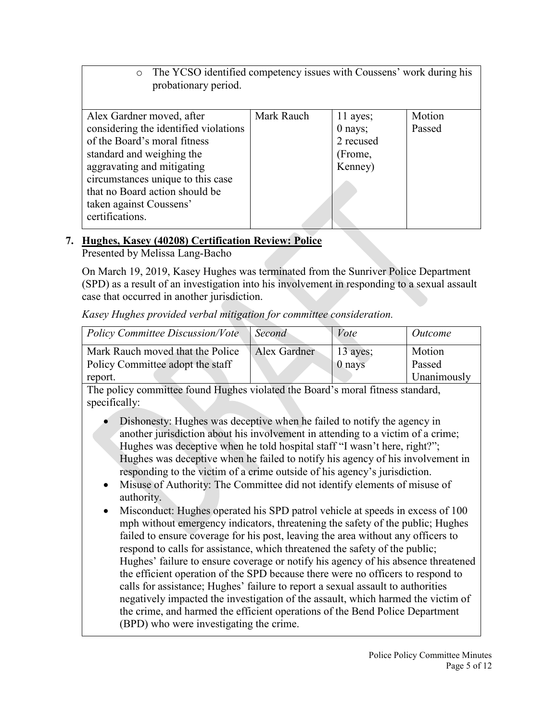o The YCSO identified competency issues with Coussens' work during his probationary period.

| Alex Gardner moved, after             | Mark Rauch | 11 ayes;  | Motion |
|---------------------------------------|------------|-----------|--------|
| considering the identified violations |            | $0$ nays; | Passed |
| of the Board's moral fitness          |            | 2 recused |        |
| standard and weighing the             |            | (Frome,   |        |
| aggravating and mitigating            |            | Kenney)   |        |
| circumstances unique to this case     |            |           |        |
| that no Board action should be        |            |           |        |
| taken against Coussens'               |            |           |        |
| certifications.                       |            |           |        |
|                                       |            |           |        |

# **7. Hughes, Kasey (40208) Certification Review: Police**

Presented by Melissa Lang-Bacho

On March 19, 2019, Kasey Hughes was terminated from the Sunriver Police Department (SPD) as a result of an investigation into his involvement in responding to a sexual assault case that occurred in another jurisdiction.

*Kasey Hughes provided verbal mitigation for committee consideration.*

| Policy Committee Discussion/Vote | Second       | Vote       | <i>Outcome</i> |
|----------------------------------|--------------|------------|----------------|
| Mark Rauch moved that the Police | Alex Gardner | $13$ ayes; | Motion         |
| Policy Committee adopt the staff |              | $0$ nays   | Passed         |
| report.                          |              |            | Unanimously    |

The policy committee found Hughes violated the Board's moral fitness standard, specifically:

- Dishonesty: Hughes was deceptive when he failed to notify the agency in another jurisdiction about his involvement in attending to a victim of a crime; Hughes was deceptive when he told hospital staff "I wasn't here, right?"; Hughes was deceptive when he failed to notify his agency of his involvement in responding to the victim of a crime outside of his agency's jurisdiction.
- Misuse of Authority: The Committee did not identify elements of misuse of authority.
- Misconduct: Hughes operated his SPD patrol vehicle at speeds in excess of 100 mph without emergency indicators, threatening the safety of the public; Hughes failed to ensure coverage for his post, leaving the area without any officers to respond to calls for assistance, which threatened the safety of the public; Hughes' failure to ensure coverage or notify his agency of his absence threatened the efficient operation of the SPD because there were no officers to respond to calls for assistance; Hughes' failure to report a sexual assault to authorities negatively impacted the investigation of the assault, which harmed the victim of the crime, and harmed the efficient operations of the Bend Police Department (BPD) who were investigating the crime.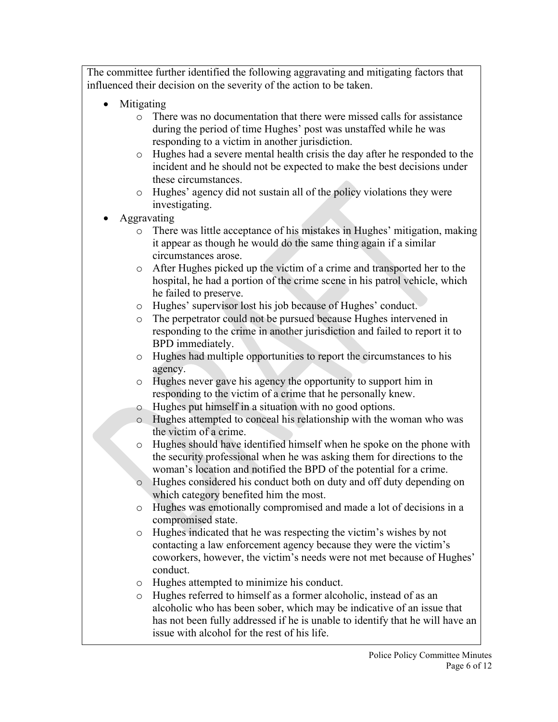- Mitigating
	- o There was no documentation that there were missed calls for assistance during the period of time Hughes' post was unstaffed while he was responding to a victim in another jurisdiction.
	- o Hughes had a severe mental health crisis the day after he responded to the incident and he should not be expected to make the best decisions under these circumstances.
	- o Hughes' agency did not sustain all of the policy violations they were investigating.
- Aggravating
	- o There was little acceptance of his mistakes in Hughes' mitigation, making it appear as though he would do the same thing again if a similar circumstances arose.
	- o After Hughes picked up the victim of a crime and transported her to the hospital, he had a portion of the crime scene in his patrol vehicle, which he failed to preserve.
	- o Hughes' supervisor lost his job because of Hughes' conduct.
	- o The perpetrator could not be pursued because Hughes intervened in responding to the crime in another jurisdiction and failed to report it to BPD immediately.
	- o Hughes had multiple opportunities to report the circumstances to his agency.
	- o Hughes never gave his agency the opportunity to support him in responding to the victim of a crime that he personally knew.
	- o Hughes put himself in a situation with no good options.
	- o Hughes attempted to conceal his relationship with the woman who was the victim of a crime.
	- o Hughes should have identified himself when he spoke on the phone with the security professional when he was asking them for directions to the woman's location and notified the BPD of the potential for a crime.
	- o Hughes considered his conduct both on duty and off duty depending on which category benefited him the most.
	- o Hughes was emotionally compromised and made a lot of decisions in a compromised state.
	- o Hughes indicated that he was respecting the victim's wishes by not contacting a law enforcement agency because they were the victim's coworkers, however, the victim's needs were not met because of Hughes' conduct.
	- o Hughes attempted to minimize his conduct.
	- o Hughes referred to himself as a former alcoholic, instead of as an alcoholic who has been sober, which may be indicative of an issue that has not been fully addressed if he is unable to identify that he will have an issue with alcohol for the rest of his life.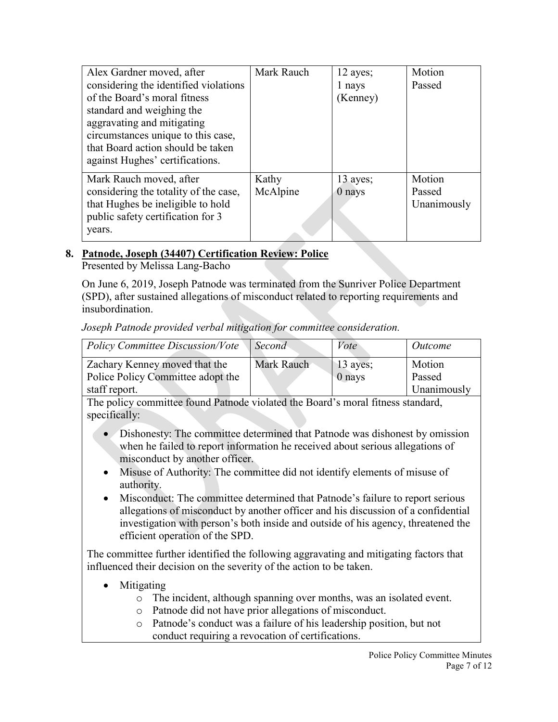| Alex Gardner moved, after<br>considering the identified violations<br>of the Board's moral fitness<br>standard and weighing the<br>aggravating and mitigating | Mark Rauch | 12 ayes;<br>1 nays<br>(Kenney) | Motion<br>Passed |
|---------------------------------------------------------------------------------------------------------------------------------------------------------------|------------|--------------------------------|------------------|
| circumstances unique to this case,<br>that Board action should be taken                                                                                       |            |                                |                  |
| against Hughes' certifications.                                                                                                                               |            |                                |                  |
| Mark Rauch moved, after                                                                                                                                       | Kathy      | 13 ayes;                       | Motion           |
| considering the totality of the case,                                                                                                                         | McAlpine   | $0$ nays                       | Passed           |
| that Hughes be ineligible to hold                                                                                                                             |            |                                | Unanimously      |
| public safety certification for 3                                                                                                                             |            |                                |                  |
| years.                                                                                                                                                        |            |                                |                  |

#### **8. Patnode, Joseph (34407) Certification Review: Police** Presented by Melissa Lang-Bacho

On June 6, 2019, Joseph Patnode was terminated from the Sunriver Police Department (SPD), after sustained allegations of misconduct related to reporting requirements and insubordination.

## *Joseph Patnode provided verbal mitigation for committee consideration.*

| Policy Committee Discussion/Vote                                   | Second     | Vote                   | Outcome          |
|--------------------------------------------------------------------|------------|------------------------|------------------|
| Zachary Kenney moved that the<br>Police Policy Committee adopt the | Mark Rauch | $13$ ayes;<br>$0$ nays | Motion<br>Passed |
| staff report.                                                      |            |                        | Unanimously      |

The policy committee found Patnode violated the Board's moral fitness standard, specifically:

- Dishonesty: The committee determined that Patnode was dishonest by omission when he failed to report information he received about serious allegations of misconduct by another officer.
- Misuse of Authority: The committee did not identify elements of misuse of authority.
- Misconduct: The committee determined that Patnode's failure to report serious allegations of misconduct by another officer and his discussion of a confidential investigation with person's both inside and outside of his agency, threatened the efficient operation of the SPD.

- Mitigating
	- o The incident, although spanning over months, was an isolated event.
	- o Patnode did not have prior allegations of misconduct.
	- o Patnode's conduct was a failure of his leadership position, but not conduct requiring a revocation of certifications.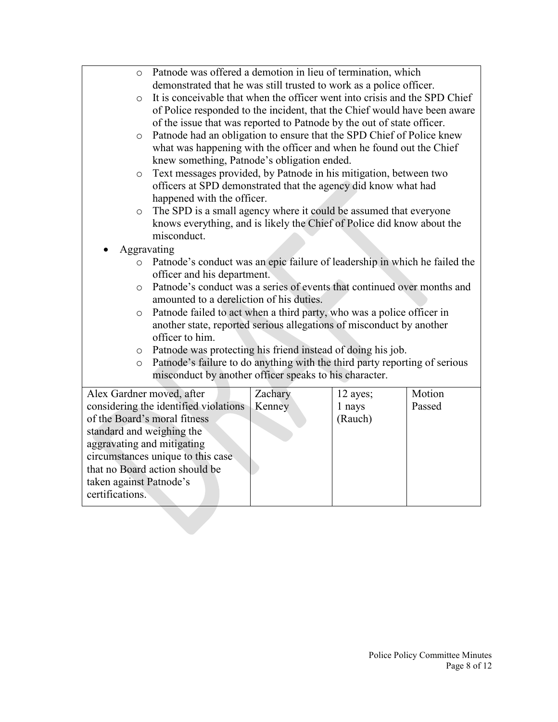| $\circ$                                                             | Patnode was offered a demotion in lieu of termination, which               |         |          |        |  |
|---------------------------------------------------------------------|----------------------------------------------------------------------------|---------|----------|--------|--|
|                                                                     | demonstrated that he was still trusted to work as a police officer.        |         |          |        |  |
| $\circ$                                                             | It is conceivable that when the officer went into crisis and the SPD Chief |         |          |        |  |
|                                                                     | of Police responded to the incident, that the Chief would have been aware  |         |          |        |  |
|                                                                     | of the issue that was reported to Patnode by the out of state officer.     |         |          |        |  |
| $\circ$                                                             | Patnode had an obligation to ensure that the SPD Chief of Police knew      |         |          |        |  |
| what was happening with the officer and when he found out the Chief |                                                                            |         |          |        |  |
|                                                                     | knew something, Patnode's obligation ended.                                |         |          |        |  |
| $\circ$                                                             | Text messages provided, by Patnode in his mitigation, between two          |         |          |        |  |
|                                                                     | officers at SPD demonstrated that the agency did know what had             |         |          |        |  |
|                                                                     | happened with the officer.                                                 |         |          |        |  |
| $\circ$                                                             | The SPD is a small agency where it could be assumed that everyone          |         |          |        |  |
|                                                                     | knows everything, and is likely the Chief of Police did know about the     |         |          |        |  |
|                                                                     | misconduct.                                                                |         |          |        |  |
| Aggravating                                                         |                                                                            |         |          |        |  |
| $\circ$                                                             | Patnode's conduct was an epic failure of leadership in which he failed the |         |          |        |  |
|                                                                     | officer and his department.                                                |         |          |        |  |
| $\circ$                                                             | Patnode's conduct was a series of events that continued over months and    |         |          |        |  |
|                                                                     | amounted to a dereliction of his duties.                                   |         |          |        |  |
| $\circ$                                                             | Patnode failed to act when a third party, who was a police officer in      |         |          |        |  |
|                                                                     | another state, reported serious allegations of misconduct by another       |         |          |        |  |
|                                                                     | officer to him.                                                            |         |          |        |  |
| $\circ$                                                             | Patnode was protecting his friend instead of doing his job.                |         |          |        |  |
| $\circ$                                                             | Patnode's failure to do anything with the third party reporting of serious |         |          |        |  |
|                                                                     | misconduct by another officer speaks to his character.                     |         |          |        |  |
| Alex Gardner moved, after                                           |                                                                            | Zachary | 12 ayes; | Motion |  |
|                                                                     | considering the identified violations                                      | Kenney  | 1 nays   | Passed |  |
|                                                                     | of the Board's moral fitness<br>(Rauch)                                    |         |          |        |  |
|                                                                     | standard and weighing the                                                  |         |          |        |  |
| aggravating and mitigating                                          |                                                                            |         |          |        |  |
| circumstances unique to this case                                   |                                                                            |         |          |        |  |
| that no Board action should be                                      |                                                                            |         |          |        |  |
| taken against Patnode's                                             |                                                                            |         |          |        |  |
| certifications.                                                     |                                                                            |         |          |        |  |
|                                                                     |                                                                            |         |          |        |  |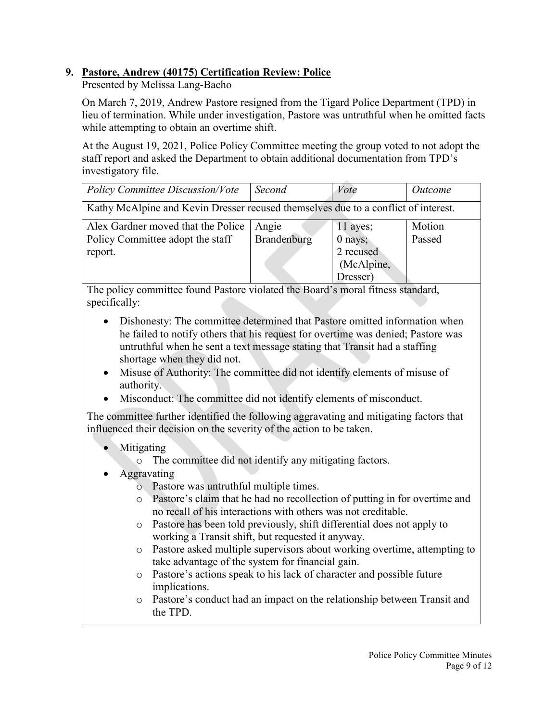# **9. Pastore, Andrew (40175) Certification Review: Police**

Presented by Melissa Lang-Bacho

On March 7, 2019, Andrew Pastore resigned from the Tigard Police Department (TPD) in lieu of termination. While under investigation, Pastore was untruthful when he omitted facts while attempting to obtain an overtime shift.

At the August 19, 2021, Police Policy Committee meeting the group voted to not adopt the staff report and asked the Department to obtain additional documentation from TPD's investigatory file.

| <b>Policy Committee Discussion/Vote</b>                                            | Second      | Vote       | <i>Outcome</i> |  |
|------------------------------------------------------------------------------------|-------------|------------|----------------|--|
| Kathy McAlpine and Kevin Dresser recused themselves due to a conflict of interest. |             |            |                |  |
| Alex Gardner moved that the Police                                                 | Angie       | $11$ ayes; | Motion         |  |
| Policy Committee adopt the staff                                                   | Brandenburg | $0$ nays;  | Passed         |  |
| report.                                                                            |             | 2 recused  |                |  |
|                                                                                    |             | (McAlpine, |                |  |
|                                                                                    |             | Dresser)   |                |  |

The policy committee found Pastore violated the Board's moral fitness standard, specifically:

- Dishonesty: The committee determined that Pastore omitted information when he failed to notify others that his request for overtime was denied; Pastore was untruthful when he sent a text message stating that Transit had a staffing shortage when they did not.
- Misuse of Authority: The committee did not identify elements of misuse of authority.
- Misconduct: The committee did not identify elements of misconduct.

- Mitigating
	- o The committee did not identify any mitigating factors.
- Aggravating
	- o Pastore was untruthful multiple times.
	- o Pastore's claim that he had no recollection of putting in for overtime and no recall of his interactions with others was not creditable.
	- o Pastore has been told previously, shift differential does not apply to working a Transit shift, but requested it anyway.
	- o Pastore asked multiple supervisors about working overtime, attempting to take advantage of the system for financial gain.
	- o Pastore's actions speak to his lack of character and possible future implications.
	- o Pastore's conduct had an impact on the relationship between Transit and the TPD.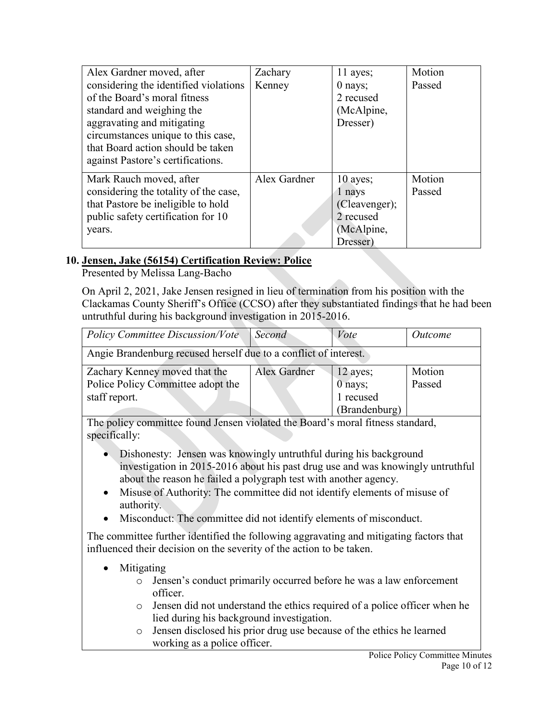| Alex Gardner moved, after             | Zachary      | 11 ayes;      | Motion |
|---------------------------------------|--------------|---------------|--------|
| considering the identified violations | Kenney       | $0$ nays;     | Passed |
| of the Board's moral fitness          |              | 2 recused     |        |
| standard and weighing the             |              | (McAlpine,    |        |
| aggravating and mitigating            |              | Dresser)      |        |
| circumstances unique to this case,    |              |               |        |
| that Board action should be taken     |              |               |        |
| against Pastore's certifications.     |              |               |        |
| Mark Rauch moved, after               | Alex Gardner | $10$ ayes;    | Motion |
| considering the totality of the case, |              | 1 nays        | Passed |
| that Pastore be ineligible to hold    |              | (Cleavenger); |        |
| public safety certification for 10    |              | 2 recused     |        |
| years.                                |              | (McAlpine,    |        |
|                                       |              | Dresser)      |        |

## **10. Jensen, Jake (56154) Certification Review: Police**

Presented by Melissa Lang-Bacho

On April 2, 2021, Jake Jensen resigned in lieu of termination from his position with the Clackamas County Sheriff's Office (CCSO) after they substantiated findings that he had been untruthful during his background investigation in 2015-2016.

| Policy Committee Discussion/Vote                                 | Second       | Vote                  | Outcome |
|------------------------------------------------------------------|--------------|-----------------------|---------|
| Angie Brandenburg recused herself due to a conflict of interest. |              |                       |         |
| Zachary Kenney moved that the                                    | Alex Gardner |                       | Motion  |
| Police Policy Committee adopt the                                |              | $12$ ayes;<br>0 nays; | Passed  |
| staff report.                                                    |              | 1 recused             |         |
|                                                                  |              | (Brandenburg)         |         |

The policy committee found Jensen violated the Board's moral fitness standard, specifically:

- Dishonesty: Jensen was knowingly untruthful during his background investigation in 2015-2016 about his past drug use and was knowingly untruthful about the reason he failed a polygraph test with another agency.
- Misuse of Authority: The committee did not identify elements of misuse of authority.
- Misconduct: The committee did not identify elements of misconduct.

- Mitigating
	- o Jensen's conduct primarily occurred before he was a law enforcement officer.
	- o Jensen did not understand the ethics required of a police officer when he lied during his background investigation.
	- o Jensen disclosed his prior drug use because of the ethics he learned working as a police officer.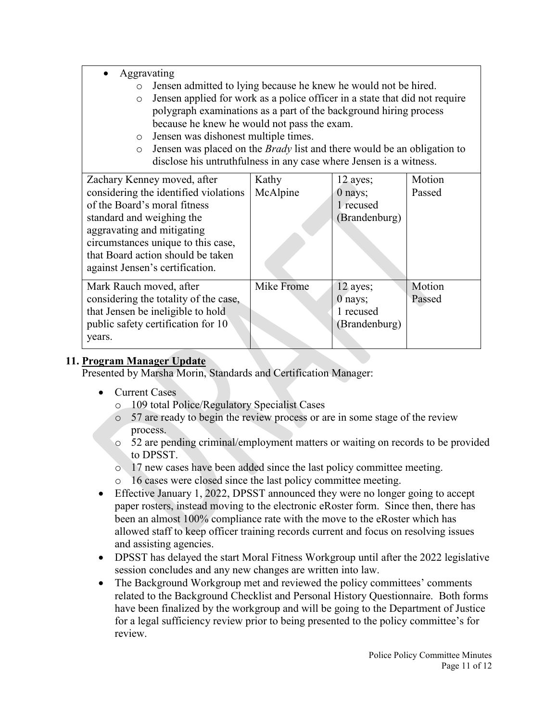- Aggravating
	- o Jensen admitted to lying because he knew he would not be hired.
	- o Jensen applied for work as a police officer in a state that did not require polygraph examinations as a part of the background hiring process because he knew he would not pass the exam.
	- o Jensen was dishonest multiple times.
	- o Jensen was placed on the *Brady* list and there would be an obligation to disclose his untruthfulness in any case where Jensen is a witness.

| Zachary Kenney moved, after           | Kathy      | 12 ayes;      | Motion |
|---------------------------------------|------------|---------------|--------|
| considering the identified violations | McAlpine   | $0$ nays;     | Passed |
| of the Board's moral fitness          |            | 1 recused     |        |
| standard and weighing the             |            | (Brandenburg) |        |
| aggravating and mitigating            |            |               |        |
| circumstances unique to this case,    |            |               |        |
| that Board action should be taken     |            |               |        |
| against Jensen's certification.       |            |               |        |
|                                       |            |               |        |
| Mark Rauch moved, after               | Mike Frome | 12 ayes;      | Motion |
| considering the totality of the case, |            | $0$ nays;     | Passed |
| that Jensen be ineligible to hold     |            | 1 recused     |        |
| public safety certification for 10    |            | Brandenburg)  |        |
| years.                                |            |               |        |
|                                       |            |               |        |

# **11. Program Manager Update**

Presented by Marsha Morin, Standards and Certification Manager:

- Current Cases
	- o 109 total Police/Regulatory Specialist Cases
	- o 57 are ready to begin the review process or are in some stage of the review process.
	- o 52 are pending criminal/employment matters or waiting on records to be provided to DPSST.
	- o 17 new cases have been added since the last policy committee meeting.
	- o 16 cases were closed since the last policy committee meeting.
- Effective January 1, 2022, DPSST announced they were no longer going to accept paper rosters, instead moving to the electronic eRoster form. Since then, there has been an almost 100% compliance rate with the move to the eRoster which has allowed staff to keep officer training records current and focus on resolving issues and assisting agencies.
- DPSST has delayed the start Moral Fitness Workgroup until after the 2022 legislative session concludes and any new changes are written into law.
- The Background Workgroup met and reviewed the policy committees' comments related to the Background Checklist and Personal History Questionnaire. Both forms have been finalized by the workgroup and will be going to the Department of Justice for a legal sufficiency review prior to being presented to the policy committee's for review.